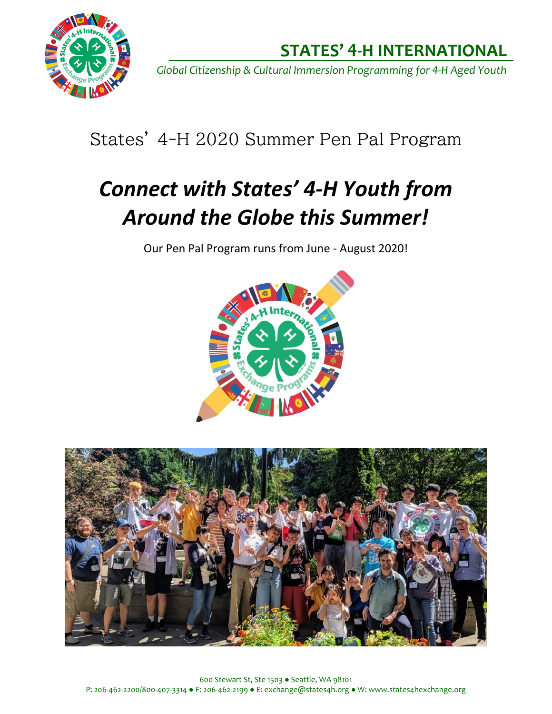

*Global Citizenship & Cultural Immersion Programming for 4-H Aged Youth*

## States' 4-H 2020 Summer Pen Pal Program

# *Connect with States' 4-H Youth from Around the Globe this Summer!*

Our Pen Pal Program runs from June - August 2020!



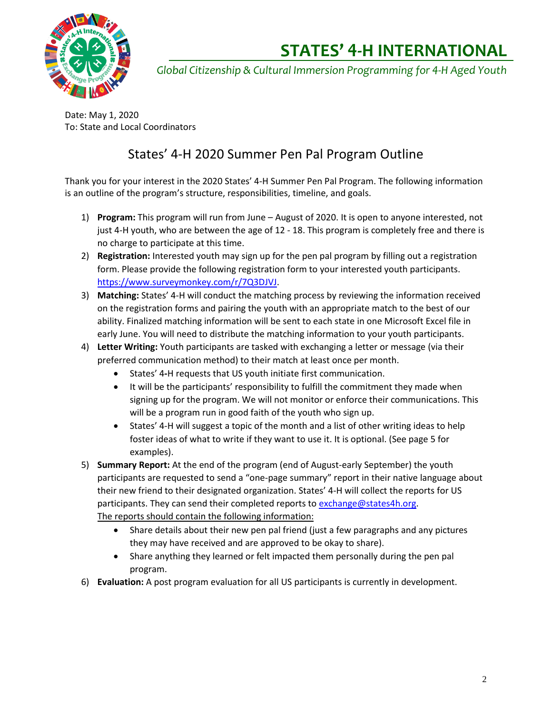

*Global Citizenship & Cultural Immersion Programming for 4-H Aged Youth*

Date: May 1, 2020 To: State and Local Coordinators

### States' 4-H 2020 Summer Pen Pal Program Outline

Thank you for your interest in the 2020 States' 4-H Summer Pen Pal Program. The following information is an outline of the program's structure, responsibilities, timeline, and goals.

- 1) **Program:** This program will run from June August of 2020. It is open to anyone interested, not just 4-H youth, who are between the age of 12 - 18. This program is completely free and there is no charge to participate at this time.
- 2) **Registration:** Interested youth may sign up for the pen pal program by filling out a registration form. Please provide the following registration form to your interested youth participants. [https://www.surveymonkey.com/r/7Q3DJVJ.](https://www.surveymonkey.com/r/7Q3DJVJ)
- 3) **Matching:** States' 4-H will conduct the matching process by reviewing the information received on the registration forms and pairing the youth with an appropriate match to the best of our ability. Finalized matching information will be sent to each state in one Microsoft Excel file in early June. You will need to distribute the matching information to your youth participants.
- 4) **Letter Writing:** Youth participants are tasked with exchanging a letter or message (via their preferred communication method) to their match at least once per month.
	- States' 4**-**H requests that US youth initiate first communication.
	- It will be the participants' responsibility to fulfill the commitment they made when signing up for the program. We will not monitor or enforce their communications. This will be a program run in good faith of the youth who sign up.
	- States' 4-H will suggest a topic of the month and a list of other writing ideas to help foster ideas of what to write if they want to use it. It is optional. (See page 5 for examples).
- 5) **Summary Report:** At the end of the program (end of August-early September) the youth participants are requested to send a "one-page summary" report in their native language about their new friend to their designated organization. States' 4-H will collect the reports for US participants. They can send their completed reports to [exchange@states4h.org.](exchange@states4h.org) The reports should contain the following information:
	- Share details about their new pen pal friend (just a few paragraphs and any pictures they may have received and are approved to be okay to share).
	- Share anything they learned or felt impacted them personally during the pen pal program.
- 6) **Evaluation:** A post program evaluation for all US participants is currently in development.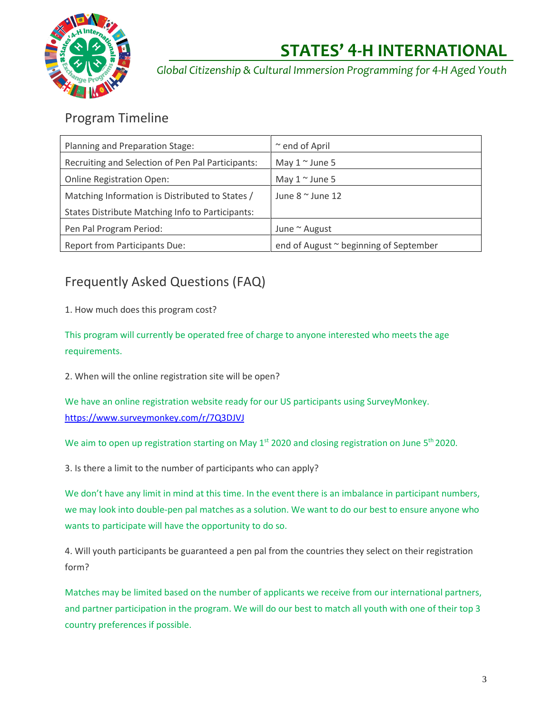

*Global Citizenship & Cultural Immersion Programming for 4-H Aged Youth*

#### Program Timeline

| Planning and Preparation Stage:                         | $\sim$ end of April                    |
|---------------------------------------------------------|----------------------------------------|
| Recruiting and Selection of Pen Pal Participants:       | May $1 \sim$ June 5                    |
| <b>Online Registration Open:</b>                        | May $1 \sim$ June 5                    |
| Matching Information is Distributed to States /         | June $8 \approx$ June 12               |
| <b>States Distribute Matching Info to Participants:</b> |                                        |
| Pen Pal Program Period:                                 | June $\sim$ August                     |
| <b>Report from Participants Due:</b>                    | end of August ~ beginning of September |

### Frequently Asked Questions (FAQ)

1. How much does this program cost?

This program will currently be operated free of charge to anyone interested who meets the age requirements.

2. When will the online registration site will be open?

We have an online registration website ready for our US participants using SurveyMonkey. <https://www.surveymonkey.com/r/7Q3DJVJ>

We aim to open up registration starting on May 1<sup>st</sup> 2020 and closing registration on June 5<sup>th</sup> 2020.

3. Is there a limit to the number of participants who can apply?

We don't have any limit in mind at this time. In the event there is an imbalance in participant numbers, we may look into double-pen pal matches as a solution. We want to do our best to ensure anyone who wants to participate will have the opportunity to do so.

4. Will youth participants be guaranteed a pen pal from the countries they select on their registration form?

Matches may be limited based on the number of applicants we receive from our international partners, and partner participation in the program. We will do our best to match all youth with one of their top 3 country preferences if possible.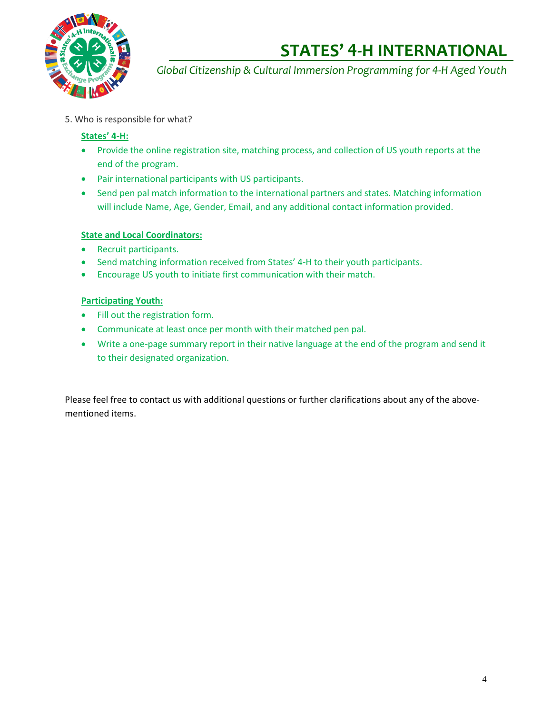

*Global Citizenship & Cultural Immersion Programming for 4-H Aged Youth*

5. Who is responsible for what?

#### **States' 4-H:**

- Provide the online registration site, matching process, and collection of US youth reports at the end of the program.
- Pair international participants with US participants.
- Send pen pal match information to the international partners and states. Matching information will include Name, Age, Gender, Email, and any additional contact information provided.

#### **State and Local Coordinators:**

- Recruit participants.
- Send matching information received from States' 4-H to their youth participants.
- Encourage US youth to initiate first communication with their match.

#### **Participating Youth:**

- Fill out the registration form.
- Communicate at least once per month with their matched pen pal.
- Write a one-page summary report in their native language at the end of the program and send it to their designated organization.

Please feel free to contact us with additional questions or further clarifications about any of the abovementioned items.